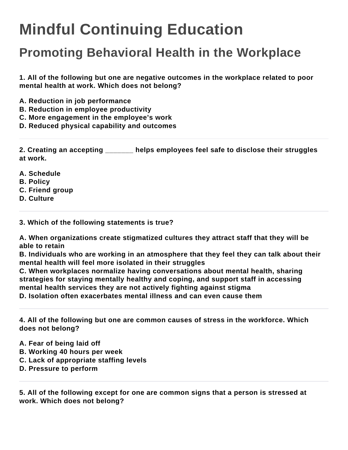## **Mindful Continuing Education**

## **Promoting Behavioral Health in the Workplace**

**1. All of the following but one are negative outcomes in the workplace related to poor mental health at work. Which does not belong?**

- **A. Reduction in job performance**
- **B. Reduction in employee productivity**
- **C. More engagement in the employee's work**
- **D. Reduced physical capability and outcomes**

**2. Creating an accepting \_\_\_\_\_\_\_ helps employees feel safe to disclose their struggles at work.**

- **A. Schedule**
- **B. Policy**
- **C. Friend group**
- **D. Culture**

**3. Which of the following statements is true?**

**A. When organizations create stigmatized cultures they attract staff that they will be able to retain**

**B. Individuals who are working in an atmosphere that they feel they can talk about their mental health will feel more isolated in their struggles**

**C. When workplaces normalize having conversations about mental health, sharing strategies for staying mentally healthy and coping, and support staff in accessing mental health services they are not actively fighting against stigma D. Isolation often exacerbates mental illness and can even cause them**

**4. All of the following but one are common causes of stress in the workforce. Which does not belong?**

- **A. Fear of being laid off**
- **B. Working 40 hours per week**
- **C. Lack of appropriate staffing levels**
- **D. Pressure to perform**

**5. All of the following except for one are common signs that a person is stressed at work. Which does not belong?**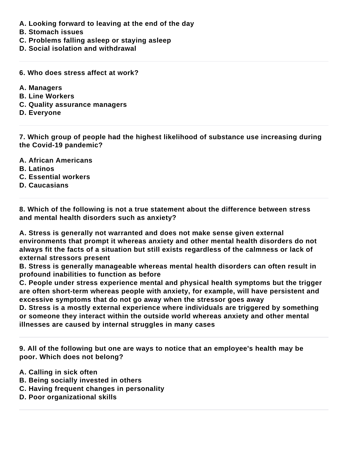- **A. Looking forward to leaving at the end of the day**
- **B. Stomach issues**
- **C. Problems falling asleep or staying asleep**
- **D. Social isolation and withdrawal**
- **6. Who does stress affect at work?**
- **A. Managers**
- **B. Line Workers**
- **C. Quality assurance managers**
- **D. Everyone**

**7. Which group of people had the highest likelihood of substance use increasing during the Covid-19 pandemic?**

- **A. African Americans**
- **B. Latinos**
- **C. Essential workers**
- **D. Caucasians**

**8. Which of the following is not a true statement about the difference between stress and mental health disorders such as anxiety?**

**A. Stress is generally not warranted and does not make sense given external environments that prompt it whereas anxiety and other mental health disorders do not always fit the facts of a situation but still exists regardless of the calmness or lack of external stressors present**

**B. Stress is generally manageable whereas mental health disorders can often result in profound inabilities to function as before**

**C. People under stress experience mental and physical health symptoms but the trigger are often short-term whereas people with anxiety, for example, will have persistent and excessive symptoms that do not go away when the stressor goes away**

**D. Stress is a mostly external experience where individuals are triggered by something or someone they interact within the outside world whereas anxiety and other mental illnesses are caused by internal struggles in many cases**

**9. All of the following but one are ways to notice that an employee's health may be poor. Which does not belong?**

- **A. Calling in sick often**
- **B. Being socially invested in others**
- **C. Having frequent changes in personality**
- **D. Poor organizational skills**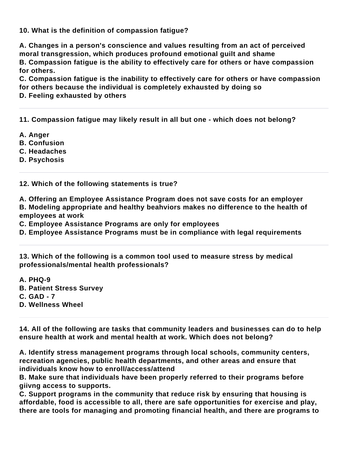**10. What is the definition of compassion fatigue?**

**A. Changes in a person's conscience and values resulting from an act of perceived moral transgression, which produces profound emotional guilt and shame B. Compassion fatigue is the ability to effectively care for others or have compassion for others.**

**C. Compassion fatigue is the inability to effectively care for others or have compassion for others because the individual is completely exhausted by doing so**

**D. Feeling exhausted by others**

**11. Compassion fatigue may likely result in all but one - which does not belong?**

- **A. Anger**
- **B. Confusion**
- **C. Headaches**
- **D. Psychosis**

**12. Which of the following statements is true?**

**A. Offering an Employee Assistance Program does not save costs for an employer B. Modeling appropriate and healthy beahviors makes no difference to the health of employees at work**

**C. Employee Assistance Programs are only for employees**

**D. Employee Assistance Programs must be in compliance with legal requirements**

**13. Which of the following is a common tool used to measure stress by medical professionals/mental health professionals?**

**A. PHQ-9 B. Patient Stress Survey C. GAD - 7 D. Wellness Wheel**

**14. All of the following are tasks that community leaders and businesses can do to help ensure health at work and mental health at work. Which does not belong?**

**A. Identify stress management programs through local schools, community centers, recreation agencies, public health departments, and other areas and ensure that individuals know how to enroll/access/attend**

**B. Make sure that individuals have been properly referred to their programs before giivng access to supports.**

**C. Support programs in the community that reduce risk by ensuring that housing is affordable, food is accessible to all, there are safe opportunities for exercise and play, there are tools for managing and promoting financial health, and there are programs to**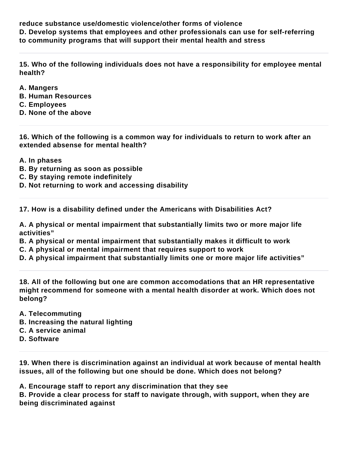**reduce substance use/domestic violence/other forms of violence D. Develop systems that employees and other professionals can use for self-referring to community programs that will support their mental health and stress**

**15. Who of the following individuals does not have a responsibility for employee mental health?**

- **A. Mangers**
- **B. Human Resources**
- **C. Employees**
- **D. None of the above**

**16. Which of the following is a common way for individuals to return to work after an extended absense for mental health?**

- **A. In phases**
- **B. By returning as soon as possible**
- **C. By staying remote indefinitely**
- **D. Not returning to work and accessing disability**

**17. How is a disability defined under the Americans with Disabilities Act?**

**A. A physical or mental impairment that substantially limits two or more major life activities"**

- **B. A physical or mental impairment that substantially makes it difficult to work**
- **C. A physical or mental impairment that requires support to work**
- **D. A physical impairment that substantially limits one or more major life activities"**

**18. All of the following but one are common accomodations that an HR representative might recommend for someone with a mental health disorder at work. Which does not belong?**

- **A. Telecommuting**
- **B. Increasing the natural lighting**
- **C. A service animal**
- **D. Software**

**19. When there is discrimination against an individual at work because of mental health issues, all of the following but one should be done. Which does not belong?**

**A. Encourage staff to report any discrimination that they see**

**B. Provide a clear process for staff to navigate through, with support, when they are being discriminated against**